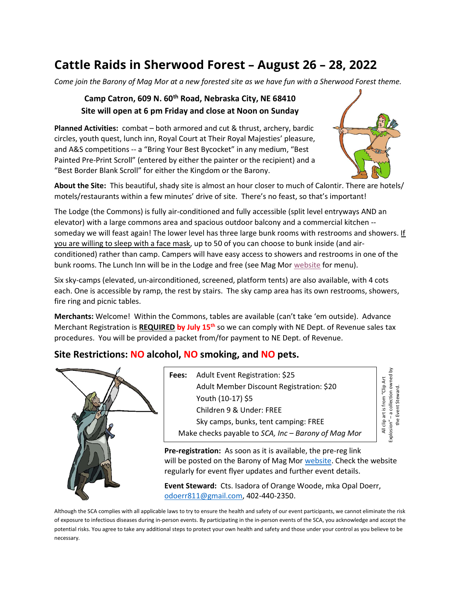## Cattle Raids in Sherwood Forest – August 26 – 28, 2022

Come join the Barony of Mag Mor at a new forested site as we have fun with a Sherwood Forest theme.

## Camp Catron, 609 N. 60<sup>th</sup> Road, Nebraska City, NE 68410 Site will open at 6 pm Friday and close at Noon on Sunday

Planned Activities: combat – both armored and cut & thrust, archery, bardic circles, youth quest, lunch inn, Royal Court at Their Royal Majesties' pleasure, and A&S competitions -- a "Bring Your Best Bycocket" in any medium, "Best Painted Pre-Print Scroll" (entered by either the painter or the recipient) and a "Best Border Blank Scroll" for either the Kingdom or the Barony.



About the Site: This beautiful, shady site is almost an hour closer to much of Calontir. There are hotels/ motels/restaurants within a few minutes' drive of site. There's no feast, so that's important!

The Lodge (the Commons) is fully air-conditioned and fully accessible (split level entryways AND an elevator) with a large commons area and spacious outdoor balcony and a commercial kitchen - someday we will feast again! The lower level has three large bunk rooms with restrooms and showers. If you are willing to sleep with a face mask, up to 50 of you can choose to bunk inside (and airconditioned) rather than camp. Campers will have easy access to showers and restrooms in one of the bunk rooms. The Lunch Inn will be in the Lodge and free (see Mag Mor website for menu).

Six sky-camps (elevated, un-airconditioned, screened, platform tents) are also available, with 4 cots each. One is accessible by ramp, the rest by stairs. The sky camp area has its own restrooms, showers, fire ring and picnic tables.

Merchants: Welcome! Within the Commons, tables are available (can't take 'em outside). Advance Merchant Registration is REQUIRED by July 15<sup>th</sup> so we can comply with NE Dept. of Revenue sales tax procedures. You will be provided a packet from/for payment to NE Dept. of Revenue.

## Site Restrictions: NO alcohol, NO smoking, and NO pets.



Fees: Adult Event Registration: \$25 Adult Member Discount Registration: \$20 Youth (10-17) \$5 Children 9 & Under: FREE Sky camps, bunks, tent camping: FREE **EXECUTE CONCIDENT CONCIDENT CONCIDENT CONCIDENT CONCIDENT CONCIDENT CONCIDENT CONCIDENT CONCIDENT CONCIDENT CONCIDENT CONCIDENT CONCIDENT CONCIDENT CONCIDENT CONCIDENT CONCIDENT CONCIDENT CONCIDENT CONCIDENT CONCIDENT CO** 

Pre-registration: As soon as it is available, the pre-reg link will be posted on the Barony of Mag Mor website. Check the website regularly for event flyer updates and further event details.

Event Steward: Cts. Isadora of Orange Woode, mka Opal Doerr, odoerr811@gmail.com, 402-440-2350.

Although the SCA complies with all applicable laws to try to ensure the health and safety of our event participants, we cannot eliminate the risk of exposure to infectious diseases during in-person events. By participating in the in-person events of the SCA, you acknowledge and accept the potential risks. You agree to take any additional steps to protect your own health and safety and those under your control as you believe to be necessary.